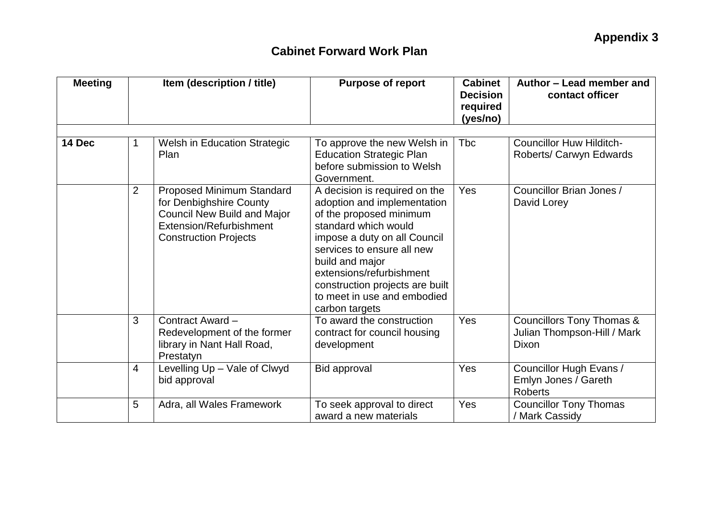| <b>Meeting</b> | Item (description / title) |                                                                                                                                                       | <b>Purpose of report</b>                                                                                                                                                                                                                                                                                         | <b>Cabinet</b><br><b>Decision</b><br>required<br>(yes/no) | Author - Lead member and<br>contact officer                                  |  |
|----------------|----------------------------|-------------------------------------------------------------------------------------------------------------------------------------------------------|------------------------------------------------------------------------------------------------------------------------------------------------------------------------------------------------------------------------------------------------------------------------------------------------------------------|-----------------------------------------------------------|------------------------------------------------------------------------------|--|
| 14 Dec         | 1                          | <b>Welsh in Education Strategic</b><br>Plan                                                                                                           | To approve the new Welsh in<br><b>Education Strategic Plan</b><br>before submission to Welsh<br>Government.                                                                                                                                                                                                      | <b>Tbc</b>                                                | <b>Councillor Huw Hilditch-</b><br>Roberts/ Carwyn Edwards                   |  |
|                | $\overline{2}$             | Proposed Minimum Standard<br>for Denbighshire County<br><b>Council New Build and Major</b><br>Extension/Refurbishment<br><b>Construction Projects</b> | A decision is required on the<br>adoption and implementation<br>of the proposed minimum<br>standard which would<br>impose a duty on all Council<br>services to ensure all new<br>build and major<br>extensions/refurbishment<br>construction projects are built<br>to meet in use and embodied<br>carbon targets | Yes                                                       | Councillor Brian Jones /<br>David Lorey                                      |  |
|                | 3                          | Contract Award -<br>Redevelopment of the former<br>library in Nant Hall Road,<br>Prestatyn                                                            | To award the construction<br>contract for council housing<br>development                                                                                                                                                                                                                                         | Yes                                                       | <b>Councillors Tony Thomas &amp;</b><br>Julian Thompson-Hill / Mark<br>Dixon |  |
|                | $\overline{4}$             | Levelling Up - Vale of Clwyd<br>bid approval                                                                                                          | <b>Bid approval</b>                                                                                                                                                                                                                                                                                              | Yes                                                       | Councillor Hugh Evans /<br>Emlyn Jones / Gareth<br><b>Roberts</b>            |  |
|                | 5                          | Adra, all Wales Framework                                                                                                                             | To seek approval to direct<br>award a new materials                                                                                                                                                                                                                                                              | Yes                                                       | <b>Councillor Tony Thomas</b><br>/ Mark Cassidy                              |  |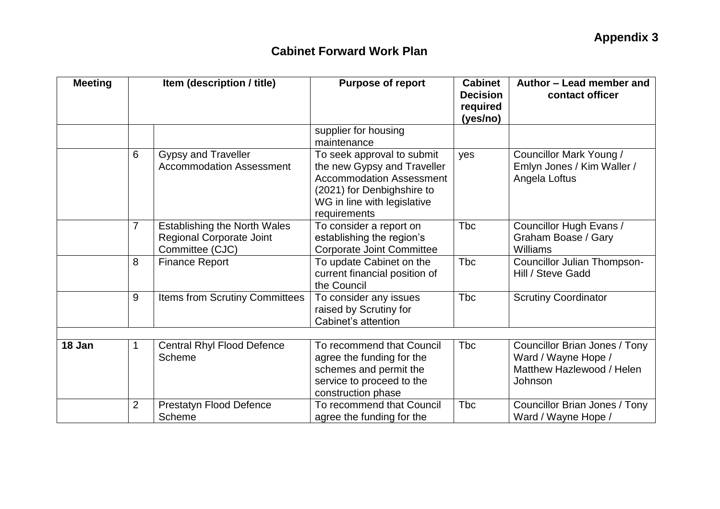| <b>Meeting</b> | Item (description / title) |                                                                                           | <b>Purpose of report</b>                                                                                                                                                  | <b>Cabinet</b><br><b>Decision</b><br>required<br>(yes/no) | Author - Lead member and<br>contact officer                                                  |  |
|----------------|----------------------------|-------------------------------------------------------------------------------------------|---------------------------------------------------------------------------------------------------------------------------------------------------------------------------|-----------------------------------------------------------|----------------------------------------------------------------------------------------------|--|
|                |                            |                                                                                           | supplier for housing<br>maintenance                                                                                                                                       |                                                           |                                                                                              |  |
|                | 6                          | <b>Gypsy and Traveller</b><br><b>Accommodation Assessment</b>                             | To seek approval to submit<br>the new Gypsy and Traveller<br><b>Accommodation Assessment</b><br>(2021) for Denbighshire to<br>WG in line with legislative<br>requirements | yes                                                       | Councillor Mark Young /<br>Emlyn Jones / Kim Waller /<br>Angela Loftus                       |  |
|                | $\overline{7}$             | <b>Establishing the North Wales</b><br><b>Regional Corporate Joint</b><br>Committee (CJC) | To consider a report on<br>establishing the region's<br><b>Corporate Joint Committee</b>                                                                                  | <b>T</b> bc                                               | Councillor Hugh Evans /<br>Graham Boase / Gary<br>Williams                                   |  |
|                | 8                          | <b>Finance Report</b>                                                                     | To update Cabinet on the<br>current financial position of<br>the Council                                                                                                  | <b>Tbc</b>                                                | Councillor Julian Thompson-<br>Hill / Steve Gadd                                             |  |
|                | 9                          | Items from Scrutiny Committees                                                            | To consider any issues<br>raised by Scrutiny for<br>Cabinet's attention                                                                                                   | <b>T</b> bc                                               | <b>Scrutiny Coordinator</b>                                                                  |  |
|                |                            |                                                                                           |                                                                                                                                                                           |                                                           |                                                                                              |  |
| 18 Jan         | 1                          | <b>Central Rhyl Flood Defence</b><br>Scheme                                               | To recommend that Council<br>agree the funding for the<br>schemes and permit the<br>service to proceed to the<br>construction phase                                       | <b>T</b> bc                                               | Councillor Brian Jones / Tony<br>Ward / Wayne Hope /<br>Matthew Hazlewood / Helen<br>Johnson |  |
|                | $\overline{2}$             | Prestatyn Flood Defence<br>Scheme                                                         | To recommend that Council<br>agree the funding for the                                                                                                                    | <b>Tbc</b>                                                | Councillor Brian Jones / Tony<br>Ward / Wayne Hope /                                         |  |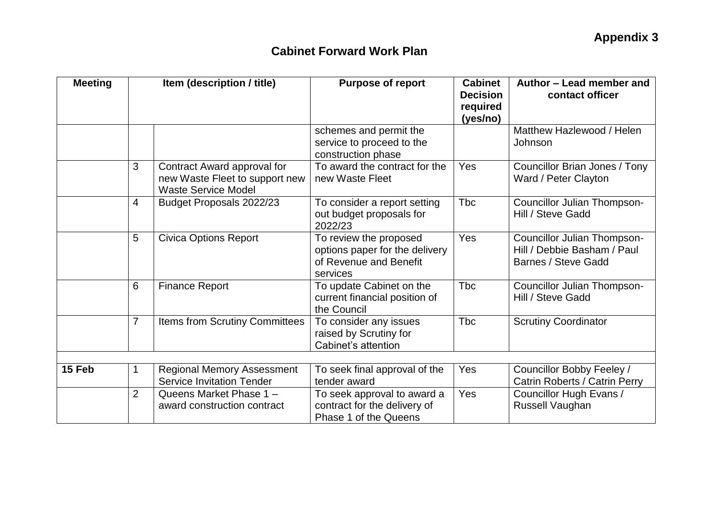| <b>Meeting</b> | Item (description / title) |                                                                                             | <b>Purpose of report</b>                                                                       | <b>Cabinet</b><br><b>Decision</b><br>required<br>(yes/no) | Author - Lead member and<br>contact officer                                       |  |
|----------------|----------------------------|---------------------------------------------------------------------------------------------|------------------------------------------------------------------------------------------------|-----------------------------------------------------------|-----------------------------------------------------------------------------------|--|
|                |                            |                                                                                             | schemes and permit the<br>service to proceed to the<br>construction phase                      |                                                           | Matthew Hazlewood / Helen<br>Johnson                                              |  |
|                | 3                          | Contract Award approval for<br>new Waste Fleet to support new<br><b>Waste Service Model</b> | To award the contract for the<br>new Waste Fleet                                               | Yes                                                       | Councillor Brian Jones / Tony<br>Ward / Peter Clayton                             |  |
|                | $\overline{4}$             | Budget Proposals 2022/23                                                                    | To consider a report setting<br>out budget proposals for<br>2022/23                            | <b>Tbc</b>                                                | Councillor Julian Thompson-<br>Hill / Steve Gadd                                  |  |
|                | 5                          | <b>Civica Options Report</b>                                                                | To review the proposed<br>options paper for the delivery<br>of Revenue and Benefit<br>services | Yes                                                       | Councillor Julian Thompson-<br>Hill / Debbie Basham / Paul<br>Barnes / Steve Gadd |  |
|                | 6                          | <b>Finance Report</b>                                                                       | To update Cabinet on the<br>current financial position of<br>the Council                       | <b>T</b> bc                                               | Councillor Julian Thompson-<br>Hill / Steve Gadd                                  |  |
|                | $\overline{7}$             | Items from Scrutiny Committees                                                              | To consider any issues<br>raised by Scrutiny for<br>Cabinet's attention                        | <b>Tbc</b>                                                | <b>Scrutiny Coordinator</b>                                                       |  |
|                |                            |                                                                                             |                                                                                                |                                                           |                                                                                   |  |
| 15 Feb         | 1                          | <b>Regional Memory Assessment</b><br><b>Service Invitation Tender</b>                       | To seek final approval of the<br>tender award                                                  | Yes                                                       | Councillor Bobby Feeley /<br>Catrin Roberts / Catrin Perry                        |  |
|                | $\overline{2}$             | Queens Market Phase 1 -<br>award construction contract                                      | To seek approval to award a<br>contract for the delivery of<br>Phase 1 of the Queens           | Yes                                                       | Councillor Hugh Evans /<br>Russell Vaughan                                        |  |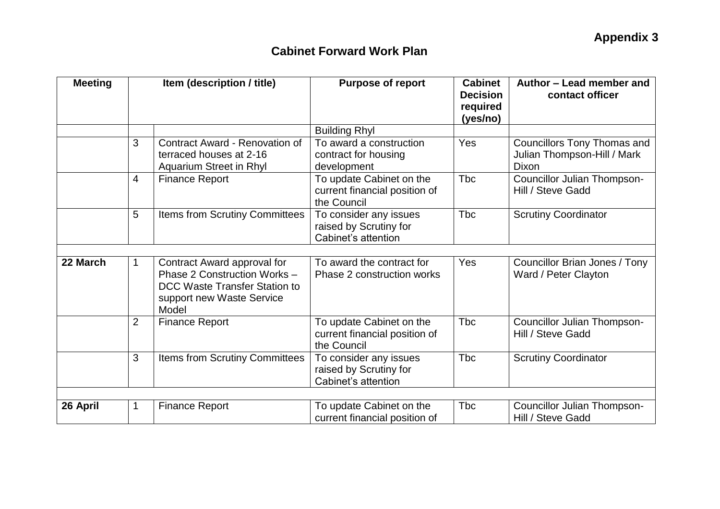| <b>Meeting</b> |                | Item (description / title)                                                                                                         | <b>Purpose of report</b>                                                 | <b>Cabinet</b><br><b>Decision</b><br>required<br>(yes/no) | Author - Lead member and<br>contact officer                                |  |
|----------------|----------------|------------------------------------------------------------------------------------------------------------------------------------|--------------------------------------------------------------------------|-----------------------------------------------------------|----------------------------------------------------------------------------|--|
|                |                |                                                                                                                                    | <b>Building Rhyl</b>                                                     |                                                           |                                                                            |  |
|                | 3              | Contract Award - Renovation of<br>terraced houses at 2-16<br>Aquarium Street in Rhyl                                               | To award a construction<br>contract for housing<br>development           | Yes                                                       | <b>Councillors Tony Thomas and</b><br>Julian Thompson-Hill / Mark<br>Dixon |  |
|                | 4              | <b>Finance Report</b>                                                                                                              | To update Cabinet on the<br>current financial position of<br>the Council | <b>T</b> bc                                               | Councillor Julian Thompson-<br>Hill / Steve Gadd                           |  |
|                | 5              | Items from Scrutiny Committees                                                                                                     | To consider any issues<br>raised by Scrutiny for<br>Cabinet's attention  | <b>Tbc</b>                                                | <b>Scrutiny Coordinator</b>                                                |  |
|                |                |                                                                                                                                    |                                                                          |                                                           |                                                                            |  |
| 22 March       | 1              | Contract Award approval for<br>Phase 2 Construction Works -<br>DCC Waste Transfer Station to<br>support new Waste Service<br>Model | To award the contract for<br>Phase 2 construction works                  | Yes                                                       | Councillor Brian Jones / Tony<br>Ward / Peter Clayton                      |  |
|                | $\overline{2}$ | <b>Finance Report</b>                                                                                                              | To update Cabinet on the<br>current financial position of<br>the Council | Tbc                                                       | <b>Councillor Julian Thompson-</b><br>Hill / Steve Gadd                    |  |
|                | 3              | <b>Items from Scrutiny Committees</b>                                                                                              | To consider any issues<br>raised by Scrutiny for<br>Cabinet's attention  | <b>T</b> bc                                               | <b>Scrutiny Coordinator</b>                                                |  |
|                |                |                                                                                                                                    |                                                                          |                                                           |                                                                            |  |
| 26 April       | 1              | <b>Finance Report</b>                                                                                                              | To update Cabinet on the<br>current financial position of                | <b>T</b> bc                                               | Councillor Julian Thompson-<br>Hill / Steve Gadd                           |  |